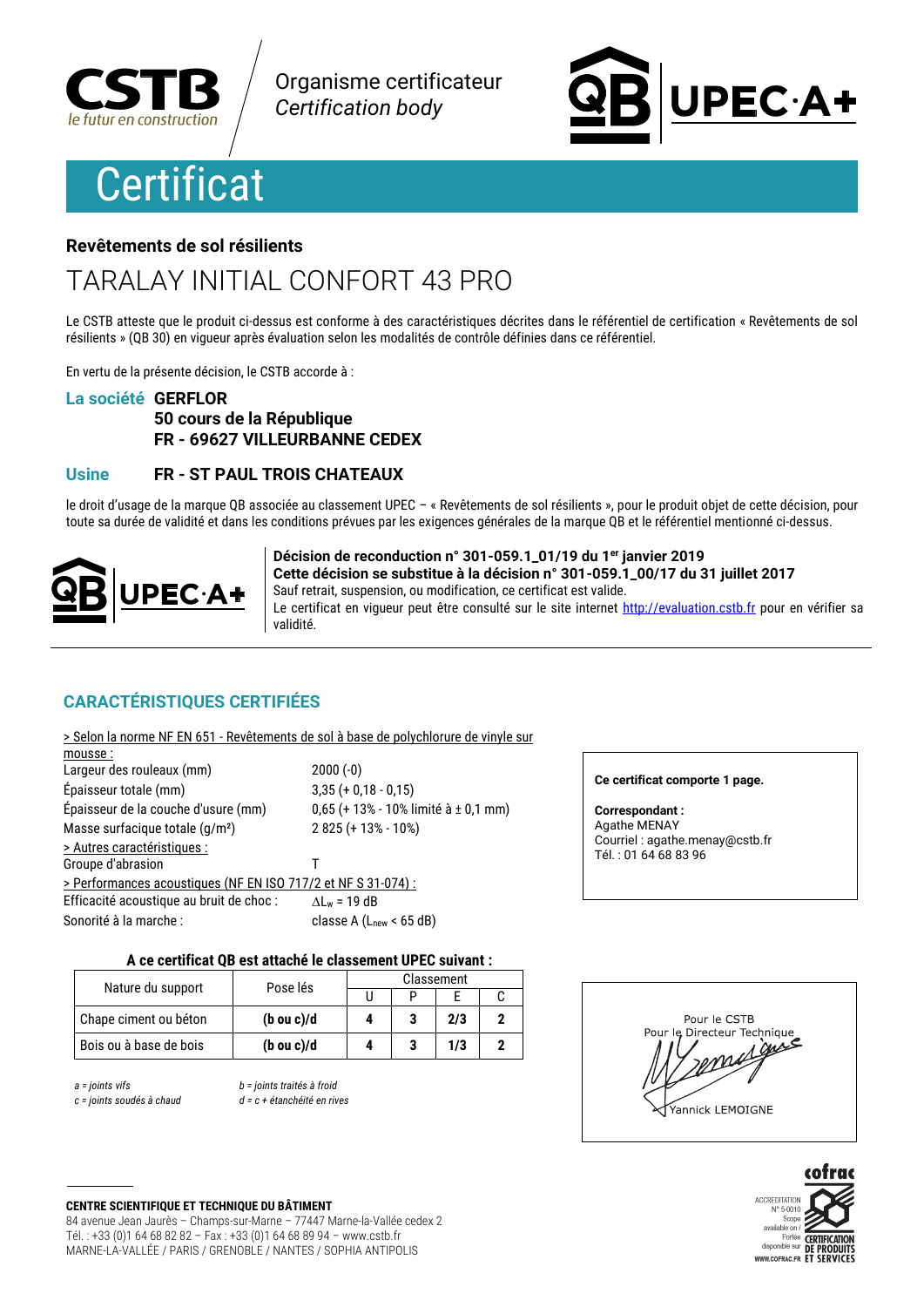

Organisme certificateur **Certification body** 

# **Certificat**



### Revêtements de sol résilients

## TARALAY INITIAL CONFORT 43 PRO

Le CSTB atteste que le produit ci-dessus est conforme à des caractéristiques décrites dans le référentiel de certification « Revêtements de sol résilients » (QB 30) en vigueur après évaluation selon les modalités de contrôle définies dans ce référentiel.

En vertu de la présente décision, le CSTB accorde à :

### La société GERFLOR

### 50 cours de la République FR - 69627 VILLEURBANNE CEDEX

### FR - ST PAUL TROIS CHATEAUX **Usine**

le droit d'usage de la marque OB associée au classement UPEC - « Revêtements de sol résilients », pour le produit objet de cette décision, pour toute sa durée de validité et dans les conditions prévues par les exigences générales de la marque QB et le référentiel mentionné ci-dessus.



Décision de reconduction n° 301-059.1\_01/19 du 1er janvier 2019 Cette décision se substitue à la décision n° 301-059.1 00/17 du 31 juillet 2017 Sauf retrait, suspension, ou modification, ce certificat est valide. Le certificat en vigueur peut être consulté sur le site internet http://evaluation.cstb.fr pour en vérifier sa **Atihiky** 

### **CARACTÉRISTIQUES CERTIFIÉES**

| > Selon la norme NF EN 651 - Revêtements de sol à base de polychlorure de vinyle sur |                                        |
|--------------------------------------------------------------------------------------|----------------------------------------|
| mousse:                                                                              |                                        |
| Largeur des rouleaux (mm)                                                            | $2000(-0)$                             |
| Épaisseur totale (mm)                                                                | $3,35 (+ 0,18 - 0,15)$                 |
| Épaisseur de la couche d'usure (mm)                                                  | $0,65$ (+ 13% - 10% limité à ± 0,1 mm) |
| Masse surfacique totale (g/m <sup>2</sup> )                                          | $2825 (+ 13\% - 10\%)$                 |
| > Autres caractéristiques :                                                          |                                        |
| Groupe d'abrasion                                                                    |                                        |
| > Performances acoustiques (NF EN ISO 717/2 et NF S 31-074) :                        |                                        |
| Efficacité acoustique au bruit de choc :                                             | $\Delta L_w$ = 19 dB                   |
| Sonorité à la marche :                                                               | classe A $(Lnew < 65 dB)$              |
|                                                                                      |                                        |

### Ce certificat comporte 1 page.

**Correspondant:** Agathe MENAY Courriel : agathe.menay@cstb.fr Tél.: 01 64 68 83 96

### A ce certificat QB est attaché le classement UPEC suivant :

| Nature du support      | Pose lés              | Classement |  |     |  |
|------------------------|-----------------------|------------|--|-----|--|
|                        |                       |            |  |     |  |
| Chape ciment ou béton  | $(b \text{ ou } c)/d$ |            |  | 2/3 |  |
| Bois ou à base de bois | $(b \text{ ou } c)/d$ |            |  | 1/3 |  |

 $a = 0$  ioints vifs

c = joints soudés à chaud

b = joints traités à froid  $d = c + 4$ átanchéité en rives

### Pour le CSTB Pour le Directeur Technique guie Yannick LEMOIGNE

cofra ACCREDITATION  $N^{\circ} 5 - 0010$ Scope available on r<br>Portée<br>disponible sur **CERTIFICATION** ñË WWW.COFRAC.FR ET

### **CENTRE SCIENTIFIQUE ET TECHNIQUE DU BÂTIMENT**

84 avenue Jean Jaurès - Champs-sur-Marne - 77447 Marne-la-Vallée cedex 2 Tél.: +33 (0)1 64 68 82 82 - Fax: +33 (0)1 64 68 89 94 - www.cstb.fr MARNE-LA-VALLÉE / PARIS / GRENOBLE / NANTES / SOPHIA ANTIPOLIS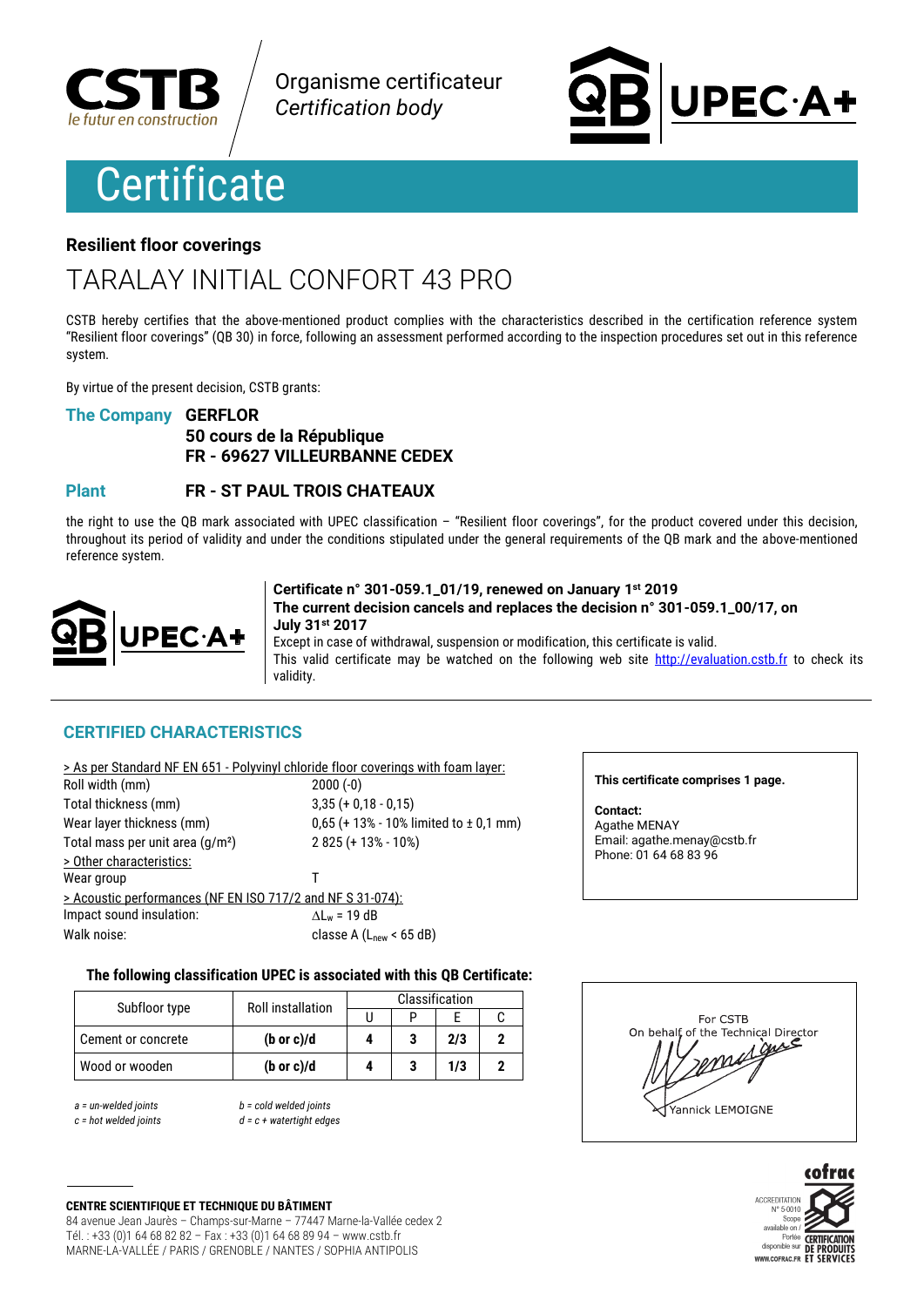

Organisme certificateur **Certification body** 

# **Certificate**

# **PEC·A+**

### **Resilient floor coverings**

# TARAI AY INITIAI CONFORT 43 PRO

CSTB hereby certifies that the above-mentioned product complies with the characteristics described in the certification reference system "Resilient floor coverings" (QB 30) in force, following an assessment performed according to the inspection procedures set out in this reference system.

By virtue of the present decision. CSTB grants:

### **The Company GERFLOR**

### 50 cours de la République FR - 69627 VILLEURBANNE CEDEX

#### **Plant FR - ST PAUL TROIS CHATEAUX**

the right to use the QB mark associated with UPEC classification  $-$  "Resilient floor coverings", for the product covered under this decision, throughout its period of validity and under the conditions stipulated under the general requirements of the QB mark and the above-mentioned reference system.



Certificate n° 301-059.1\_01/19, renewed on January 1st 2019 The current decision cancels and replaces the decision n° 301-059.1 00/17, on July 31st 2017

Except in case of withdrawal, suspension or modification, this certificate is valid. This valid certificate may be watched on the following web site http://evaluation.cstb.fr to check its validity.

### **CERTIFIED CHARACTERISTICS**

|                                                            | > As per Standard NF EN 651 - Polyvinyl chloride floor coverings with foam layer: |
|------------------------------------------------------------|-----------------------------------------------------------------------------------|
| Roll width (mm)                                            | $2000(-0)$                                                                        |
| Total thickness (mm)                                       | $3,35 (+ 0,18 - 0,15)$                                                            |
| Wear layer thickness (mm)                                  | $0,65$ (+ 13% - 10% limited to $\pm$ 0,1 mm)                                      |
| Total mass per unit area (g/m <sup>2</sup> )               | $2825 (+ 13\% - 10\%)$                                                            |
| > Other characteristics:                                   |                                                                                   |
| Wear group                                                 |                                                                                   |
| > Acoustic performances (NF EN ISO 717/2 and NF S 31-074): |                                                                                   |
| Impact sound insulation:                                   | $\Delta L_w = 19$ dB                                                              |
| Walk noise:                                                | classe A $(Lnew < 65 dB)$                                                         |

This certificate comprises 1 page.

Contact: Agathe MENAY Email: agathe.menay@cstb.fr Phone: 01 64 68 83 96

### The following classification UPEC is associated with this QB Certificate:

| Subfloor type      | <b>Roll installation</b> | Classification |  |     |  |
|--------------------|--------------------------|----------------|--|-----|--|
|                    |                          |                |  |     |  |
| Cement or concrete | $(b \text{ or } c)/d$    |                |  | 2/3 |  |
| Wood or wooden     | $(b \text{ or } c)/d$    |                |  | 1/3 |  |

 $a =$  un-welded joints  $c = hot$  welded ioints  $b = cold$  welded joints  $d = c + watertiaht$  edges





**CENTRE SCIENTIFIQUE ET TECHNIQUE DU BÂTIMENT** 84 avenue Jean Jaurès - Champs-sur-Marne - 77447 Marne-la-Vallée cedex 2 Tél.: +33 (0)1 64 68 82 82 - Fax: +33 (0)1 64 68 89 94 - www.cstb.fr MARNE-LA-VALLÉE / PARIS / GRENOBLE / NANTES / SOPHIA ANTIPOLIS